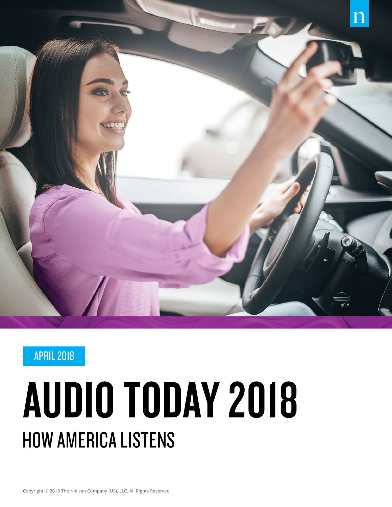

### APRIL 2018

# AUDIO TODAY 2018 HOW AMERICA LISTENS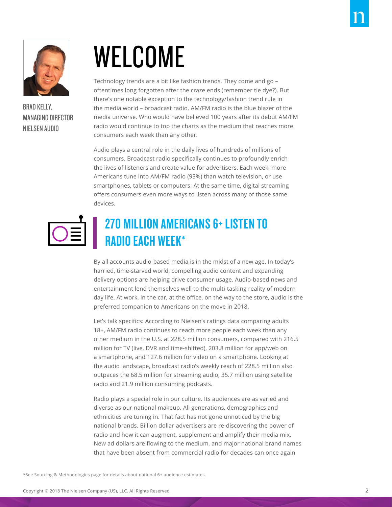

BRAD KELLY, MANAGING DIRECTOR NIELSEN AUDIO

# WELCOME

Technology trends are a bit like fashion trends. They come and go – oftentimes long forgotten after the craze ends (remember tie dye?). But there's one notable exception to the technology/fashion trend rule in the media world – broadcast radio. AM/FM radio is the blue blazer of the media universe. Who would have believed 100 years after its debut AM/FM radio would continue to top the charts as the medium that reaches more consumers each week than any other.

Audio plays a central role in the daily lives of hundreds of millions of consumers. Broadcast radio specifically continues to profoundly enrich the lives of listeners and create value for advertisers. Each week, more Americans tune into AM/FM radio (93%) than watch television, or use smartphones, tablets or computers. At the same time, digital streaming offers consumers even more ways to listen across many of those same devices.



## 270 MILLION AMERICANS 6+ LISTEN TO RADIO EACH WEEK\*

By all accounts audio-based media is in the midst of a new age. In today's harried, time-starved world, compelling audio content and expanding delivery options are helping drive consumer usage. Audio-based news and entertainment lend themselves well to the multi-tasking reality of modern day life. At work, in the car, at the office, on the way to the store, audio is the preferred companion to Americans on the move in 2018.

Let's talk specifics: According to Nielsen's ratings data comparing adults 18+, AM/FM radio continues to reach more people each week than any other medium in the U.S. at 228.5 million consumers, compared with 216.5 million for TV (live, DVR and time-shifted), 203.8 million for app/web on a smartphone, and 127.6 million for video on a smartphone. Looking at the audio landscape, broadcast radio's weekly reach of 228.5 million also outpaces the 68.5 million for streaming audio, 35.7 million using satellite radio and 21.9 million consuming podcasts.

Radio plays a special role in our culture. Its audiences are as varied and diverse as our national makeup. All generations, demographics and ethnicities are tuning in. That fact has not gone unnoticed by the big national brands. Billion dollar advertisers are re-discovering the power of radio and how it can augment, supplement and amplify their media mix. New ad dollars are flowing to the medium, and major national brand names that have been absent from commercial radio for decades can once again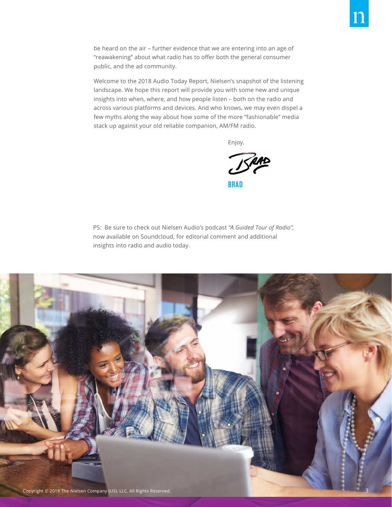be heard on the air – further evidence that we are entering into an age of "reawakening" about what radio has to offer both the general consumer public, and the ad community.

Welcome to the 2018 Audio Today Report, Nielsen's snapshot of the listening landscape. We hope this report will provide you with some new and unique insights into when, where, and how people listen – both on the radio and across various platforms and devices. And who knows, we may even dispel a few myths along the way about how some of the more "fashionable" media stack up against your old reliable companion, AM/FM radio.

Enjoy.

ISRA BRAD

PS: Be sure to check out Nielsen Audio's podcast *"A Guided Tour of Radio",*  now available on Soundcloud, for editorial comment and additional insights into radio and audio today.

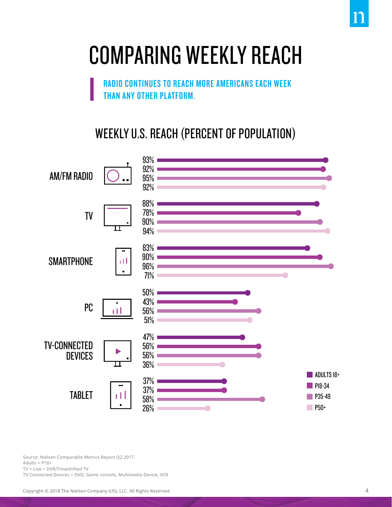## COMPARING WEEKLY REACH

RADIO CONTINUES TO REACH MORE AMERICANS EACH WEEK THAN ANY OTHER PLATFORM.

### WEEKLY U.S. REACH (PERCENT OF POPULATION)



Source: Nielsen Comparable Metrics Report Q2 2017. Adults =  $P18+$ TV = Live + DVR/Timeshifted TV

TV Connected Devices = DVD, Game console, Multimedia Device, VCR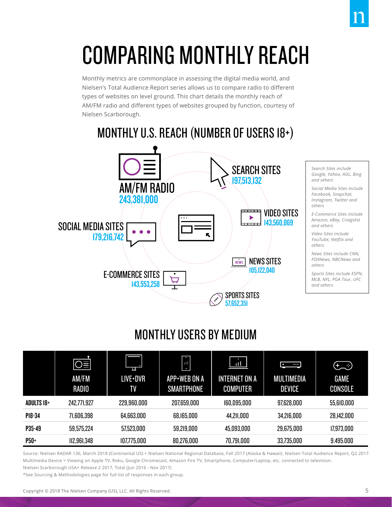## COMPARING MONTHLY REACH

Monthly metrics are commonplace in assessing the digital media world, and Nielsen's Total Audience Report series allows us to compare radio to different types of websites on level ground. This chart details the monthly reach of AM/FM radio and different types of websites grouped by function, courtesy of Nielsen Scarborough.

## MONTHLY U.S. REACH (NUMBER OF USERS 18+)



#### *Search Sites include Google, Yahoo, AOL, Bing and others*

*Social Media Sites include Facebook, Snapchat, Instagram, Twitter and others*

*E-Commerce Sites include Amazon, eBay, Craigslist and others*

*Video Sites include YouTube, Netflix and others*

*News Sites include CNN, FOXNews, NBCNews and others*

*Sports Sites include ESPN, MLB, NFL, PGA Tour, UFC and others*

## MONTHLY USERS BY MEDIUM

|                   | lO≣<br>AM/FM<br><b>RADIO</b> | π<br>LIVE+DVR<br>TV | Ī.<br>$\mathbf{1}$<br>APP+WEB ON A<br><b>SMARTPHONE</b> | пH<br><b>INTERNET ON A</b><br><b>COMPUTER</b> | $\bullet\bullet\bullet$<br>$\bullet$<br><b>MULTIMEDIA</b><br><b>DEVICE</b> | ڭى<br><b>GAME</b><br><b>CONSOLE</b> |
|-------------------|------------------------------|---------------------|---------------------------------------------------------|-----------------------------------------------|----------------------------------------------------------------------------|-------------------------------------|
| <b>ADULTS 18+</b> | 242,771,927                  | 229,960,000         | 207,659,000                                             | 160,095,000                                   | 97,628,000                                                                 | 55,610,000                          |
| P18-34            | 71,606,398                   | 64,663,000          | 68,165,000                                              | 44,211,000                                    | 34,216,000                                                                 | 28,142,000                          |
| P35-49            | 59,575,224                   | 57,523,000          | 59,219,000                                              | 45,093,000                                    | 29,675,000                                                                 | 17,973,000                          |
| P50+              | 112,961,348                  | 107,775,000         | 80,276,000                                              | 70,791,000                                    | 33,735,000                                                                 | 9.495.000                           |

Source: Nielsen RADAR 136, March 2018 (Continental US) + Nielsen National Regional Database, Fall 2017 (Alaska & Hawaii). Nielsen Total Audience Report, Q2 2017. Multimedia Device = Viewing on Apple TV, Roku, Google Chromecast, Amazon Fire TV, Smartphone, Computer/Laptop, etc. connected to television. Nielsen Scarborough USA+ Release 2 2017, Total (Jun 2016 - Nov 2017)

\*See Sourcing & Methodologies page for full list of responses in each group.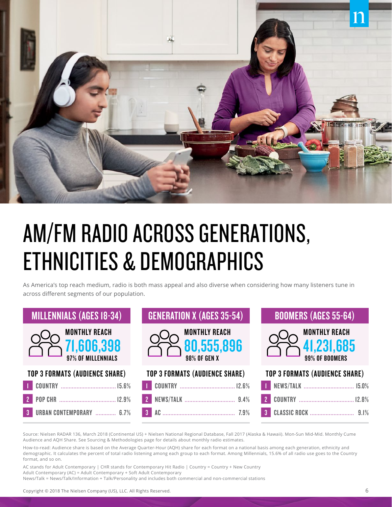

## AM/FM RADIO ACROSS GENERATIONS, ETHNICITIES & DEMOGRAPHICS

As America's top reach medium, radio is both mass appeal and also diverse when considering how many listeners tune in across different segments of our population.

| <b>MILLENNIALS (AGES 18-34)</b>                          | <b>GENERATION X (AGES 35-54)</b>                                 | <b>BOOMERS (AGES 55-64)</b>                                   |  |
|----------------------------------------------------------|------------------------------------------------------------------|---------------------------------------------------------------|--|
| <b>MONTHLY REACH</b><br>71,606,398<br>97% OF MILLENNIALS | <b>MONTHLY REACH</b><br>$\frac{80,555,896}{\frac{98\%0F\,GENX}}$ | <b>MONTHLY REACH</b><br>$\sqrt{41,231,685}$<br>99% OF BOOMERS |  |
| <b>TOP 3 FORMATS (AUDIENCE SHARE)</b>                    | <b>TOP 3 FORMATS (AUDIENCE SHARE)</b>                            | <b>TOP 3 FORMATS (AUDIENCE SHARE)</b>                         |  |
|                                                          |                                                                  |                                                               |  |
|                                                          | 2 <sup>1</sup>                                                   |                                                               |  |
| <b>3 URBAN CONTEMPORARY</b> 6.7%                         |                                                                  |                                                               |  |

Source: Nielsen RADAR 136, March 2018 (Continental US) + Nielsen National Regional Database, Fall 2017 (Alaska & Hawaii). Mon-Sun Mid-Mid. Monthly Cume Audience and AQH Share. See Sourcing & Methodologies page for details about monthly radio estimates.

How-to-read: Audience share is based on the Average Quarter-Hour (AQH) share for each format on a national basis among each generation, ethnicity and demographic. It calculates the percent of total radio listening among each group to each format. Among Millennials, 15.6% of all radio use goes to the Country format, and so on.

AC stands for Adult Contemporary | CHR stands for Contemporary Hit Radio | Country = Country + New Country Adult Contemporary (AC) = Adult Contemporary + Soft Adult Contemporary News/Talk = News/Talk/Information + Talk/Personality and includes both commercial and non-commercial stations

Copyright © 2018 The Nielsen Company (US), LLC. All Rights Reserved. 6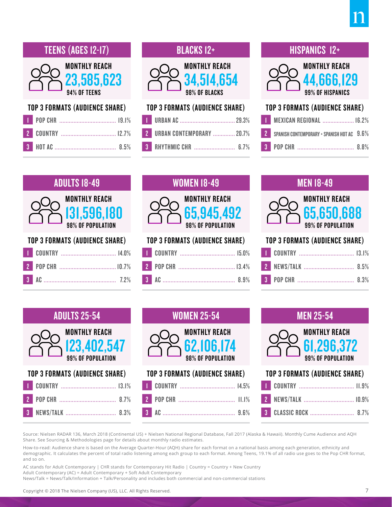

#### TOP 3 FORMATS (AUDIENCE SHARE)

### BLACKS 12+



#### TOP 3 FORMATS (AUDIENCE SHARE) 1 URBAN AC ................................... 29.3%

| 2 URBAN CONTEMPORARY  20.7% |
|-----------------------------|
| <b>3</b> RHYTHMIC CHR  6.7% |

#### HISPANICS 12+



#### TOP 3 FORMATS (AUDIENCE SHARE)

| <b>T</b> MEXICAN REGIONAL  16.2%             |  |
|----------------------------------------------|--|
| 2 SPANISH CONTEMPORARY + SPANISH HOT AC 9.6% |  |
|                                              |  |

## ADULTS 18-49 MONTHLY REACH



#### TOP 3 FORMATS (AUDIENCE SHARE)

| <b>WOMEN 18-49</b>                                             |
|----------------------------------------------------------------|
| <b>MONTHLY REACH</b><br><b>65,945,492</b><br>98% OF POPULATION |
| <b>TOP 3 FORMATS (AUDIENCE SHARE)</b>                          |
| <b>COUNTRY</b><br>15.0%                                        |

| <b>MEN 18-49</b>                                        |                  |      |
|---------------------------------------------------------|------------------|------|
| <b>MONTHLY REACH</b><br>65,650,688<br>99% OF POPULATION |                  |      |
| <b>TOP 3 FORMATS (AUDIENCE SHARE)</b>                   |                  |      |
|                                                         | <b>COUNTRY</b>   |      |
|                                                         | <b>NEWS/TALK</b> | 8.5% |
| 3                                                       |                  |      |

### ADULTS 25-54



#### TOP 3 FORMATS (AUDIENCE SHARE)



#### MEN 25-54



#### TOP 3 FORMATS (AUDIENCE SHARE)

Source: Nielsen RADAR 136, March 2018 (Continental US) + Nielsen National Regional Database, Fall 2017 (Alaska & Hawaii). Monthly Cume Audience and AQH Share. See Sourcing & Methodologies page for details about monthly radio estimates.

How-to-read: Audience share is based on the Average Quarter-Hour (AQH) share for each format on a national basis among each generation, ethnicity and demographic. It calculates the percent of total radio listening among each group to each format. Among Teens, 19.1% of all radio use goes to the Pop CHR format, and so on.

3 AC .............................................. 9.6%

AC stands for Adult Contemporary | CHR stands for Contemporary Hit Radio | Country = Country + New Country Adult Contemporary (AC) = Adult Contemporary + Soft Adult Contemporary News/Talk = News/Talk/Information + Talk/Personality and includes both commercial and non-commercial stations

Copyright © 2018 The Nielsen Company (US), LLC. All Rights Reserved. 7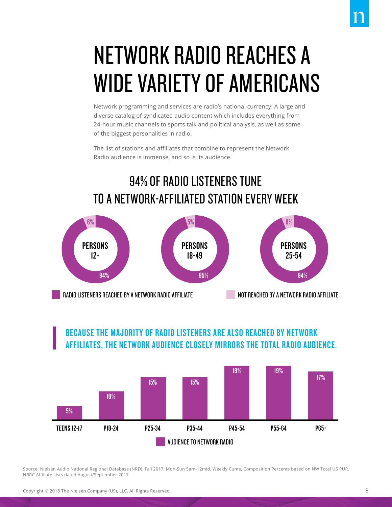## NETWORK RADIO REACHES A WIDE VARIETY OF AMERICANS

Network programming and services are radio's national currency: A large and diverse catalog of syndicated audio content which includes everything from 24-hour music channels to sports talk and political analysis, as well as some of the biggest personalities in radio.

The list of stations and affiliates that combine to represent the Network Radio audience is immense, and so is its audience.

## 94% OF RADIO LISTENERS TUNE TO A NETWORK-AFFILIATED STATION EVERY WEEK



#### BECAUSE THE MAJORITY OF RADIO LISTENERS ARE ALSO REACHED BY NETWORK AFFILIATES, THE NETWORK AUDIENCE CLOSELY MIRRORS THE TOTAL RADIO AUDIENCE. AFFILIATES, THE NETWORK AUDIENGE GEUSELT MIRRORS THE TUTAL RADIO AUDIENGE.



Source: Nielsen Audio National Regional Database (NRD), Fall 2017, Mon-Sun 5am-12mid, Weekly Cume, Composition Percents based on NW Total US PUR, NRRC Affiliate Lists dated August/September 2017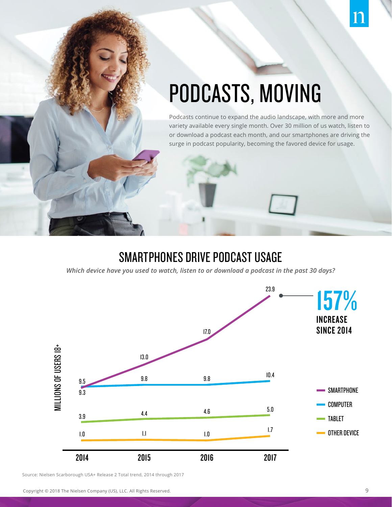## PODCASTS, MOVING

Podcasts continue to expand the audio landscape, with more and more variety available every single month. Over 30 million of us watch, listen to or download a podcast each month, and our smartphones are driving the surge in podcast popularity, becoming the favored device for usage.

### SMARTPHONES DRIVE PODCAST USAGE

*Which device have you used to watch, listen to or download a podcast in the past 30 days?*



Source: Nielsen Scarborough USA+ Release 2 Total trend, 2014 through 2017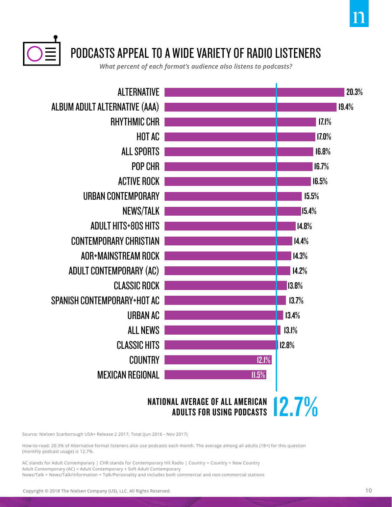

*What percent of each format's audience also listens to podcasts?*



## NATIONAL AVERAGE OF ALL AMERICAN 12.7%

Source: Nielsen Scarborough USA+ Release 2 2017, Total (Jun 2016 - Nov 2017)

How-to-read: 20.3% of Alternative format listeners also use podcasts each month. The average among all adults (18+) for this question (monthly podcast usage) is 12.7%.

AC stands for Adult Contemporary | CHR stands for Contemporary Hit Radio | Country = Country + New Country Adult Contemporary (AC) = Adult Contemporary + Soft Adult Contemporary News/Talk = News/Talk/Information + Talk/Personality and includes both commercial and non-commercial stations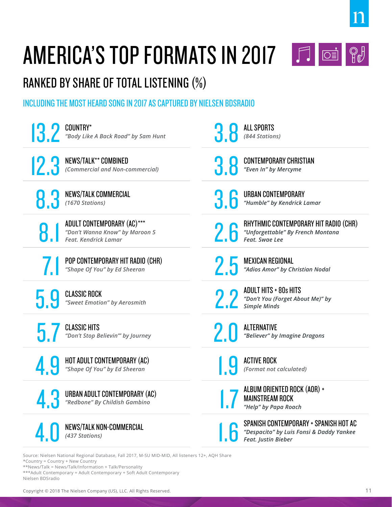

## AMERICA'S TOP FORMATS IN 2017 **1**



## RANKED BY SHARE OF TOTAL LISTENING (%)

#### INCLUDING THE MOST HEARD SONG IN 2017 AS CAPTURED BY NIELSEN BDSRADIO

| COUNTRY*                                                       | <b>ALL SPORTS</b>                                                                                               |
|----------------------------------------------------------------|-----------------------------------------------------------------------------------------------------------------|
| "Body Like A Back Road" by Sam Hunt                            | (844 Stations)                                                                                                  |
| NEWS/TALK** COMBINED                                           | <b>CONTEMPORARY CHRISTIAN</b>                                                                                   |
| (Commercial and Non-commercial)                                | "Even In" by Mercyme                                                                                            |
| <b>NEWS/TALK COMMERCIAL</b>                                    | URBAN CONTEMPORARY                                                                                              |
| (1670 Stations)                                                | "Humble" by Kendrick Lamar                                                                                      |
| ADULT CONTEMPORARY (AC)***                                     | RHYTHMIC CONTEMPORARY HIT RADIO (CHR)                                                                           |
| "Don't Wanna Know" by Maroon 5                                 | "Unforgettable" By French Montana                                                                               |
| Feat. Kendrick Lamar                                           | Feat. Swae Lee                                                                                                  |
| POP CONTEMPORARY HIT RADIO (CHR)                               | <b>MEXICAN REGIONAL</b>                                                                                         |
| "Shape Of You" by Ed Sheeran                                   | "Adios Amor" by Christian Nodal                                                                                 |
| <b>CLASSIC ROCK</b><br>"Sweet Emotion" by Aerosmith            | <b>ADULT HITS + 80s HITS</b><br>"Don't You (Forget About Me)" by<br><b>Simple Minds</b>                         |
| <b>CLASSIC HITS</b>                                            | <b>ALTERNATIVE</b>                                                                                              |
| "Don't Stop Believin"' by Journey                              | "Believer" by Imagine Dragons                                                                                   |
| HOT ADULT CONTEMPORARY (AC)                                    | <b>ACTIVE ROCK</b>                                                                                              |
| "Shape Of You" by Ed Sheeran                                   | (Format not calculated)                                                                                         |
| URBAN ADULT CONTEMPORARY (AC)<br>"Redbone" By Childish Gambino | ALBUM ORIENTED ROCK (AOR) +<br><b>MAINSTREAM ROCK</b><br>"Help" by Papa Roach                                   |
| <b>NEWS/TALK NON-COMMERCIAL</b><br>(437 Stations)              | SPANISH CONTEMPORARY + SPANISH HOT AC<br>"Despacito" by Luis Fonsi & Daddy Yankee<br><b>Feat. Justin Bieber</b> |
|                                                                |                                                                                                                 |

Source: Nielsen National Regional Database, Fall 2017, M-SU MID-MID, All listeners 12+, AQH Share \*Country = Country + New Country

\*\*News/Talk = News/Talk/Information + Talk/Personality

\*\*\*Adult Contemporary = Adult Contemporary + Soft Adult Contemporary Nielsen BDSradio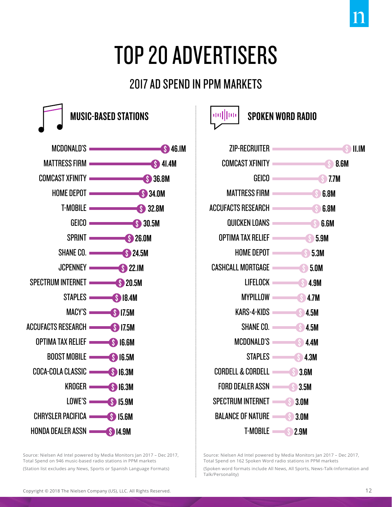## TOP 20 ADVERTISERS

## 2017 AD SPEND IN PPM MARKETS



Source: Nielsen Ad Intel powered by Media Monitors Jan 2017 – Dec 2017, Total Spend on 946 music-based radio stations in PPM markets (Station list excludes any News, Sports or Spanish Language Formats)





Source: Nielsen Ad Intel powered by Media Monitors Jan 2017 – Dec 2017, Total Spend on 162 Spoken Word radio stations in PPM markets

(Spoken word formats include All News, All Sports, News-Talk-Information and Talk/Personality)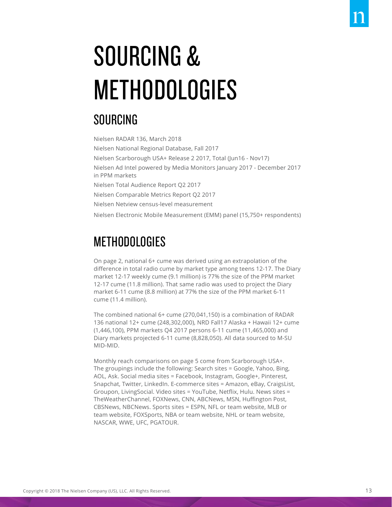# SOURCING & **METHODOLOGIES**

### SOURCING

Nielsen RADAR 136, March 2018 Nielsen National Regional Database, Fall 2017 Nielsen Scarborough USA+ Release 2 2017, Total (Jun16 - Nov17) Nielsen Ad Intel powered by Media Monitors January 2017 - December 2017 in PPM markets Nielsen Total Audience Report Q2 2017 Nielsen Comparable Metrics Report Q2 2017 Nielsen Netview census-level measurement Nielsen Electronic Mobile Measurement (EMM) panel (15,750+ respondents)

## **METHODOLOGIES**

On page 2, national 6+ cume was derived using an extrapolation of the difference in total radio cume by market type among teens 12-17. The Diary market 12-17 weekly cume (9.1 million) is 77% the size of the PPM market 12-17 cume (11.8 million). That same radio was used to project the Diary market 6-11 cume (8.8 million) at 77% the size of the PPM market 6-11 cume (11.4 million).

The combined national 6+ cume (270,041,150) is a combination of RADAR 136 national 12+ cume (248,302,000), NRD Fall17 Alaska + Hawaii 12+ cume (1,446,100), PPM markets Q4 2017 persons 6-11 cume (11,465,000) and Diary markets projected 6-11 cume (8,828,050). All data sourced to M-SU MID-MID.

Monthly reach comparisons on page 5 come from Scarborough USA+. The groupings include the following: Search sites = Google, Yahoo, Bing, AOL, Ask. Social media sites = Facebook, Instagram, Google+, Pinterest, Snapchat, Twitter, LinkedIn. E-commerce sites = Amazon, eBay, CraigsList, Groupon, LivingSocial. Video sites = YouTube, Netflix, Hulu. News sites = TheWeatherChannel, FOXNews, CNN, ABCNews, MSN, Huffington Post, CBSNews, NBCNews. Sports sites = ESPN, NFL or team website, MLB or team website, FOXSports, NBA or team website, NHL or team website, NASCAR, WWE, UFC, PGATOUR.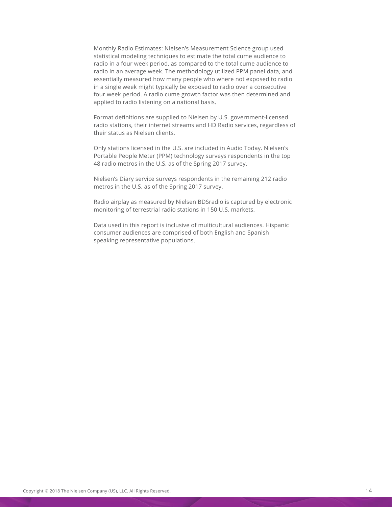Monthly Radio Estimates: Nielsen's Measurement Science group used statistical modeling techniques to estimate the total cume audience to radio in a four week period, as compared to the total cume audience to radio in an average week. The methodology utilized PPM panel data, and essentially measured how many people who where not exposed to radio in a single week might typically be exposed to radio over a consecutive four week period. A radio cume growth factor was then determined and applied to radio listening on a national basis.

Format definitions are supplied to Nielsen by U.S. government-licensed radio stations, their internet streams and HD Radio services, regardless of their status as Nielsen clients.

Only stations licensed in the U.S. are included in Audio Today. Nielsen's Portable People Meter (PPM) technology surveys respondents in the top 48 radio metros in the U.S. as of the Spring 2017 survey.

Nielsen's Diary service surveys respondents in the remaining 212 radio metros in the U.S. as of the Spring 2017 survey.

Radio airplay as measured by Nielsen BDSradio is captured by electronic monitoring of terrestrial radio stations in 150 U.S. markets.

Data used in this report is inclusive of multicultural audiences. Hispanic consumer audiences are comprised of both English and Spanish speaking representative populations.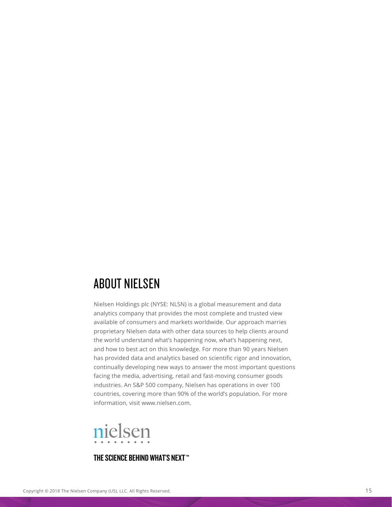### ABOUT NIELSEN

Nielsen Holdings plc (NYSE: NLSN) is a global measurement and data analytics company that provides the most complete and trusted view available of consumers and markets worldwide. Our approach marries proprietary Nielsen data with other data sources to help clients around the world understand what's happening now, what's happening next, and how to best act on this knowledge. For more than 90 years Nielsen has provided data and analytics based on scientific rigor and innovation, continually developing new ways to answer the most important questions facing the media, advertising, retail and fast-moving consumer goods industries. An S&P 500 company, Nielsen has operations in over 100 countries, covering more than 90% of the world's population. For more information, visit www.nielsen.com.



#### THE SCIENCE BEHIND WHAT'S NEXT™